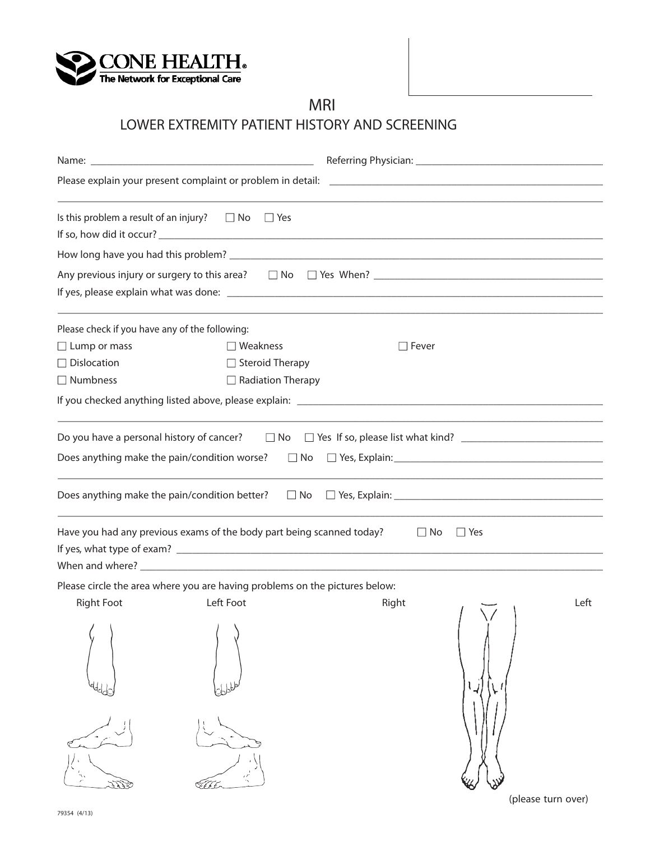

**MRI**

## **LOWER EXTREMITY PATIENT HISTORY AND SCREENING**

| Is this problem a result of an injury? $\square$ No                                      | $\Box$ Yes                                                                  |                         |      |
|------------------------------------------------------------------------------------------|-----------------------------------------------------------------------------|-------------------------|------|
|                                                                                          |                                                                             |                         |      |
|                                                                                          |                                                                             |                         |      |
|                                                                                          |                                                                             |                         |      |
| Please check if you have any of the following:                                           |                                                                             |                         |      |
| $\Box$ Lump or mass                                                                      | $\Box$ Weakness                                                             | $\Box$ Fever            |      |
| $\Box$ Dislocation                                                                       | $\Box$ Steroid Therapy                                                      |                         |      |
| $\Box$ Numbness                                                                          | $\Box$ Radiation Therapy                                                    |                         |      |
|                                                                                          |                                                                             |                         |      |
|                                                                                          |                                                                             |                         |      |
|                                                                                          |                                                                             |                         |      |
|                                                                                          | Does anything make the pain/condition better? $\square$ No                  |                         |      |
|                                                                                          | Have you had any previous exams of the body part being scanned today?       | $\Box$ No<br>$\Box$ Yes |      |
|                                                                                          | Please circle the area where you are having problems on the pictures below: |                         |      |
| <b>Right Foot</b><br>$\mathcal{L}$ and $\mathcal{L}$ and $\mathcal{L}$ and $\mathcal{L}$ | Left Foot                                                                   | Right                   | Left |
|                                                                                          |                                                                             |                         |      |